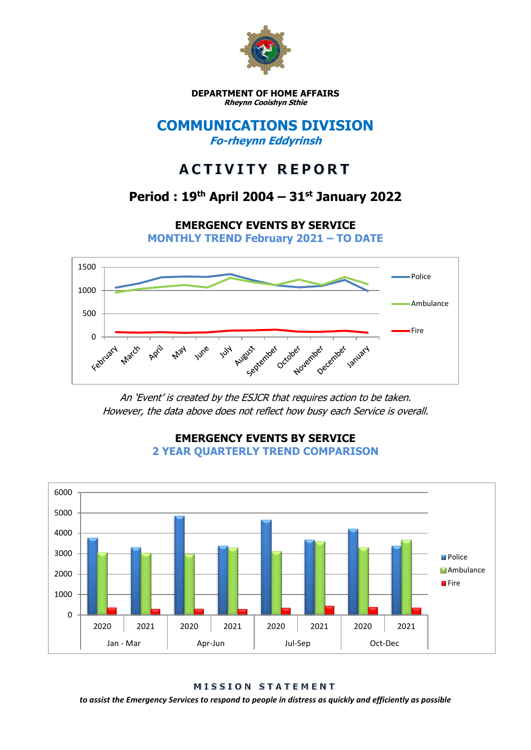

**DEPARTMENT OF HOME AFFAIRS Rheynn Cooishyn Sthie**

### **COMMUNICATIONS DIVISION Fo-rheynn Eddyrinsh**

# **ACTIVITY REPORT**

## **Period : 19th April 2004 – 31st January 2022**

**EMERGENCY EVENTS BY SERVICE**

**MONTHLY TREND February 2021 – TO DATE**



An 'Event' is created by the ESJCR that requires action to be taken. However, the data above does not reflect how busy each Service is overall.



**EMERGENCY EVENTS BY SERVICE 2 YEAR QUARTERLY TREND COMPARISON**

MISSION STATEMENT

*to assist the Emergency Services to respond to people in distress as quickly and efficiently as possible*